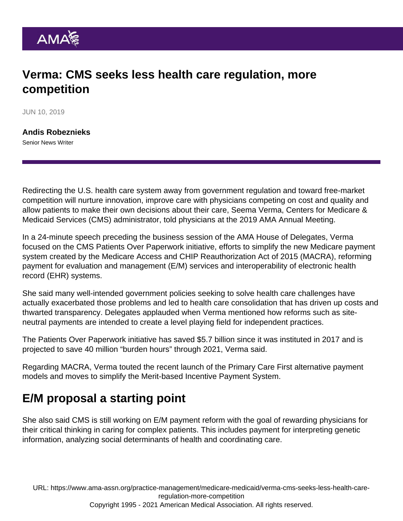## Verma: CMS seeks less health care regulation, more competition

JUN 10, 2019

[Andis Robeznieks](https://www.ama-assn.org/news-leadership-viewpoints/authors-news-leadership-viewpoints/andis-robeznieks) Senior News Writer

Redirecting the U.S. health care system away from government regulation and toward free-market competition will nurture innovation, improve care with physicians competing on cost and quality and allow patients to make their own decisions about their care, Seema Verma, Centers for Medicare & Medicaid Services (CMS) administrator, told physicians at the 2019 AMA Annual Meeting.

In a 24-minute speech preceding the business session of the AMA House of Delegates, Verma focused on the CMS Patients Over Paperwork initiative, efforts to simplify the new Medicare payment system created by the Medicare Access and CHIP Reauthorization Act of 2015 (MACRA), reforming payment for evaluation and management (E/M) services and interoperability of electronic health record (EHR) systems.

She said many well-intended government policies seeking to solve health care challenges have actually exacerbated those problems and led to health care consolidation that has driven up costs and thwarted transparency. Delegates applauded when Verma mentioned how reforms such as siteneutral payments are intended to create a level playing field for independent practices.

The Patients Over Paperwork initiative has saved \$5.7 billion since it was instituted in 2017 and is projected to save 40 million "burden hours" through 2021, Verma said.

Regarding MACRA, Verma touted the recent launch of the [Primary Care First](https://www.ama-assn.org/practice-management/payment-delivery-models/physician-proposals-inspire-new-hhs-pay-models-primary) alternative payment models and moves to simplify the Merit-based Incentive Payment System.

## E/M proposal a starting point

She also said CMS is still working on E/M payment reform with the goal of rewarding physicians for their critical thinking in caring for complex patients. This includes payment for interpreting genetic information, analyzing social determinants of health and coordinating care.

URL: [https://www.ama-assn.org/practice-management/medicare-medicaid/verma-cms-seeks-less-health-care](https://www.ama-assn.org/practice-management/medicare-medicaid/verma-cms-seeks-less-health-care-regulation-more-competition)[regulation-more-competition](https://www.ama-assn.org/practice-management/medicare-medicaid/verma-cms-seeks-less-health-care-regulation-more-competition)